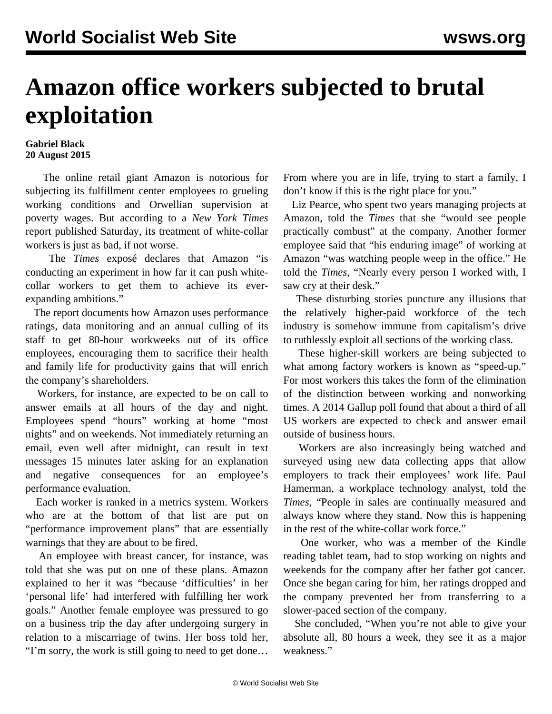## **Amazon office workers subjected to brutal exploitation**

## **Gabriel Black 20 August 2015**

 The online retail giant Amazon is notorious for subjecting its fulfillment center employees to grueling working conditions and Orwellian supervision at poverty wages. But according to a *New York Times* report published Saturday, its treatment of white-collar workers is just as bad, if not worse.

 The *Times* exposé declares that Amazon "is conducting an experiment in how far it can push whitecollar workers to get them to achieve its everexpanding ambitions."

 The report documents how Amazon uses performance ratings, data monitoring and an annual culling of its staff to get 80-hour workweeks out of its office employees, encouraging them to sacrifice their health and family life for productivity gains that will enrich the company's shareholders.

 Workers, for instance, are expected to be on call to answer emails at all hours of the day and night. Employees spend "hours" working at home "most nights" and on weekends. Not immediately returning an email, even well after midnight, can result in text messages 15 minutes later asking for an explanation and negative consequences for an employee's performance evaluation.

 Each worker is ranked in a metrics system. Workers who are at the bottom of that list are put on "performance improvement plans" that are essentially warnings that they are about to be fired.

 An employee with breast cancer, for instance, was told that she was put on one of these plans. Amazon explained to her it was "because 'difficulties' in her 'personal life' had interfered with fulfilling her work goals." Another female employee was pressured to go on a business trip the day after undergoing surgery in relation to a miscarriage of twins. Her boss told her, "I'm sorry, the work is still going to need to get done…

From where you are in life, trying to start a family, I don't know if this is the right place for you."

 Liz Pearce, who spent two years managing projects at Amazon, told the *Times* that she "would see people practically combust" at the company. Another former employee said that "his enduring image" of working at Amazon "was watching people weep in the office." He told the *Times*, "Nearly every person I worked with, I saw cry at their desk."

 These disturbing stories puncture any illusions that the relatively higher-paid workforce of the tech industry is somehow immune from capitalism's drive to ruthlessly exploit all sections of the working class.

 These higher-skill workers are being subjected to what among factory workers is known as "speed-up." For most workers this takes the form of the elimination of the distinction between working and nonworking times. A 2014 Gallup poll found that about a third of all US workers are expected to check and answer email outside of business hours.

 Workers are also increasingly being watched and surveyed using new data collecting apps that allow employers to track their employees' work life. Paul Hamerman, a workplace technology analyst, told the *Times*, "People in sales are continually measured and always know where they stand. Now this is happening in the rest of the white-collar work force."

 One worker, who was a member of the Kindle reading tablet team, had to stop working on nights and weekends for the company after her father got cancer. Once she began caring for him, her ratings dropped and the company prevented her from transferring to a slower-paced section of the company.

 She concluded, "When you're not able to give your absolute all, 80 hours a week, they see it as a major weakness."